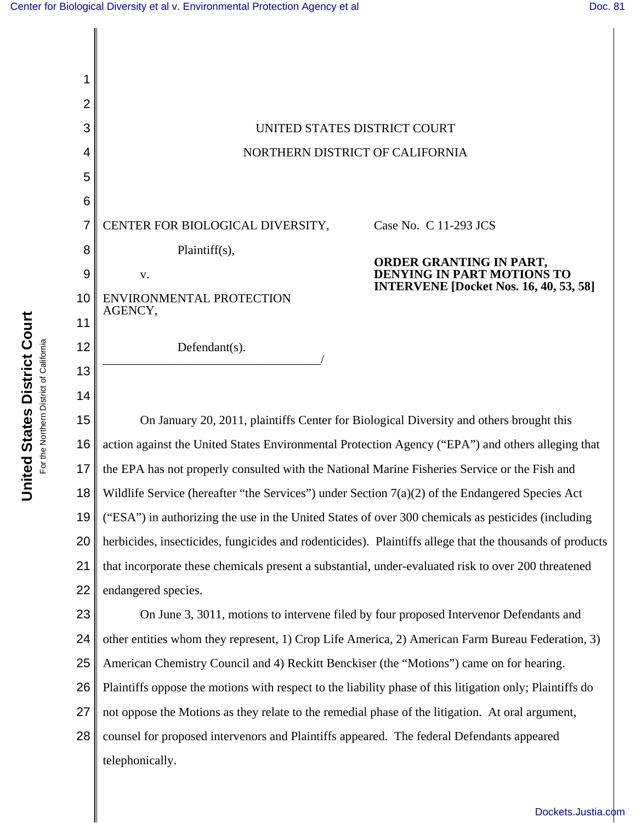